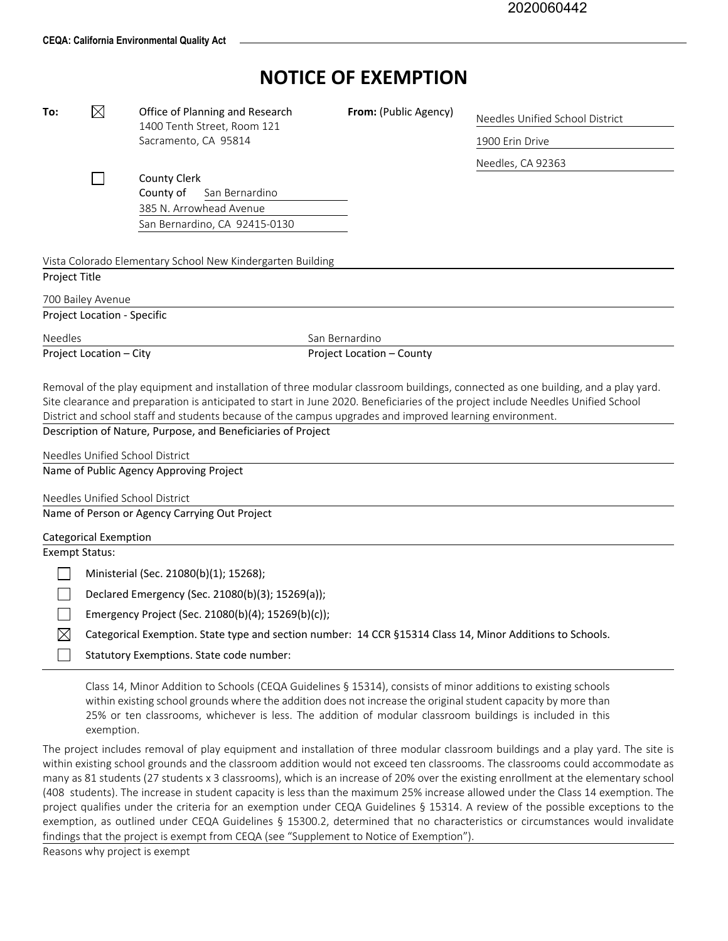## **NOTICE OF EXEMPTION**

| To:                                                          | $\boxtimes$                  | Office of Planning and Research                                                                                                  | From: (Public Agency)     | Needles Unified School District |  |  |
|--------------------------------------------------------------|------------------------------|----------------------------------------------------------------------------------------------------------------------------------|---------------------------|---------------------------------|--|--|
|                                                              |                              | 1400 Tenth Street, Room 121                                                                                                      |                           |                                 |  |  |
|                                                              |                              | Sacramento, CA 95814                                                                                                             |                           | 1900 Erin Drive                 |  |  |
|                                                              |                              |                                                                                                                                  |                           | Needles, CA 92363               |  |  |
|                                                              |                              | <b>County Clerk</b>                                                                                                              |                           |                                 |  |  |
|                                                              |                              | County of<br>San Bernardino<br>385 N. Arrowhead Avenue                                                                           |                           |                                 |  |  |
|                                                              |                              | San Bernardino, CA 92415-0130                                                                                                    |                           |                                 |  |  |
|                                                              |                              |                                                                                                                                  |                           |                                 |  |  |
| Vista Colorado Elementary School New Kindergarten Building   |                              |                                                                                                                                  |                           |                                 |  |  |
| Project Title                                                |                              |                                                                                                                                  |                           |                                 |  |  |
|                                                              | 700 Bailey Avenue            |                                                                                                                                  |                           |                                 |  |  |
| Project Location - Specific                                  |                              |                                                                                                                                  |                           |                                 |  |  |
| <b>Needles</b>                                               |                              |                                                                                                                                  | San Bernardino            |                                 |  |  |
|                                                              | Project Location - City      |                                                                                                                                  | Project Location - County |                                 |  |  |
|                                                              |                              |                                                                                                                                  |                           |                                 |  |  |
|                                                              |                              | Removal of the play equipment and installation of three modular classroom buildings, connected as one building, and a play yard. |                           |                                 |  |  |
|                                                              |                              | Site clearance and preparation is anticipated to start in June 2020. Beneficiaries of the project include Needles Unified School |                           |                                 |  |  |
|                                                              |                              | District and school staff and students because of the campus upgrades and improved learning environment.                         |                           |                                 |  |  |
| Description of Nature, Purpose, and Beneficiaries of Project |                              |                                                                                                                                  |                           |                                 |  |  |
|                                                              |                              | Needles Unified School District                                                                                                  |                           |                                 |  |  |
| Name of Public Agency Approving Project                      |                              |                                                                                                                                  |                           |                                 |  |  |
|                                                              |                              | Needles Unified School District                                                                                                  |                           |                                 |  |  |
|                                                              |                              | Name of Person or Agency Carrying Out Project                                                                                    |                           |                                 |  |  |
|                                                              |                              |                                                                                                                                  |                           |                                 |  |  |
| <b>Exempt Status:</b>                                        | <b>Categorical Exemption</b> |                                                                                                                                  |                           |                                 |  |  |
|                                                              |                              |                                                                                                                                  |                           |                                 |  |  |
|                                                              |                              | Ministerial (Sec. 21080(b)(1); 15268);                                                                                           |                           |                                 |  |  |
|                                                              |                              | Declared Emergency (Sec. 21080(b)(3); 15269(a));                                                                                 |                           |                                 |  |  |
|                                                              |                              | Emergency Project (Sec. 21080(b)(4); 15269(b)(c));                                                                               |                           |                                 |  |  |
| IХ                                                           |                              | Categorical Exemption. State type and section number: 14 CCR §15314 Class 14, Minor Additions to Schools.                        |                           |                                 |  |  |
|                                                              |                              | Statutory Exemptions. State code number:                                                                                         |                           |                                 |  |  |

Class 14, Minor Addition to Schools (CEQA Guidelines § 15314), consists of minor additions to existing schools within existing school grounds where the addition does not increase the original student capacity by more than 25% or ten classrooms, whichever is less. The addition of modular classroom buildings is included in this exemption.

The project includes removal of play equipment and installation of three modular classroom buildings and a play yard. The site is within existing school grounds and the classroom addition would not exceed ten classrooms. The classrooms could accommodate as many as 81 students (27 students x 3 classrooms), which is an increase of 20% over the existing enrollment at the elementary school (408 students). The increase in student capacity is less than the maximum 25% increase allowed under the Class 14 exemption. The project qualifies under the criteria for an exemption under CEQA Guidelines § 15314. A review of the possible exceptions to the exemption, as outlined under CEQA Guidelines § 15300.2, determined that no characteristics or circumstances would invalidate findings that the project is exempt from CEQA (see "Supplement to Notice of Exemption").

Reasons why project is exempt